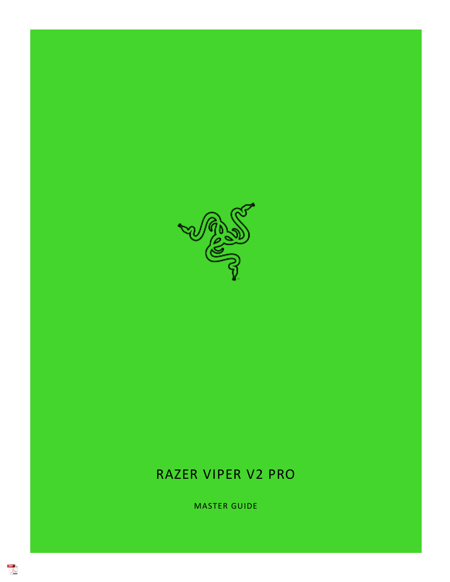

# RAZER VIPER V2 PRO

MASTER GUIDE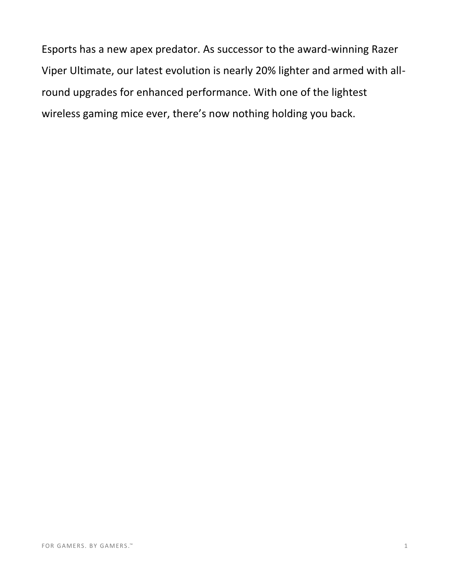Esports has a new apex predator. As successor to the award-winning Razer Viper Ultimate, our latest evolution is nearly 20% lighter and armed with allround upgrades for enhanced performance. With one of the lightest wireless gaming mice ever, there's now nothing holding you back.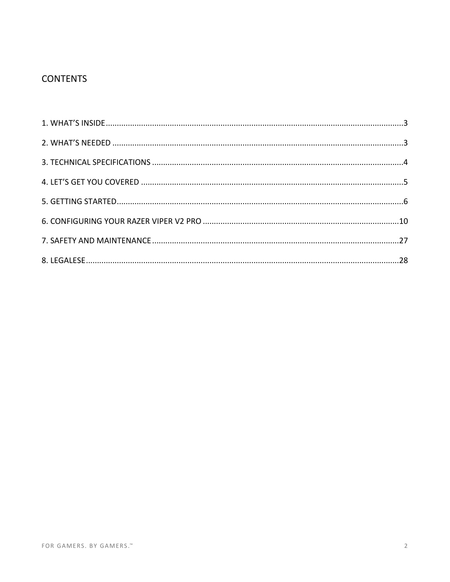## **CONTENTS**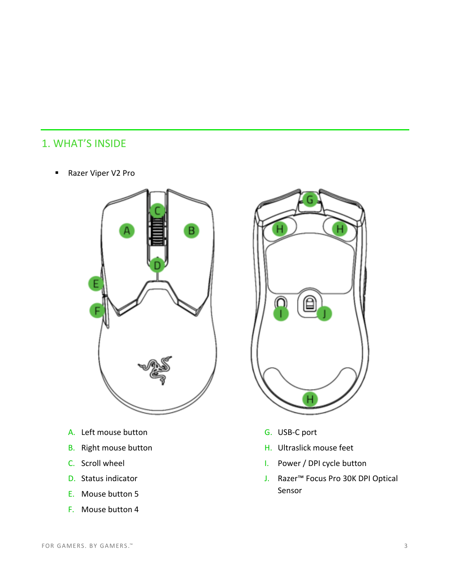# <span id="page-3-0"></span>1. WHAT'S INSIDE

■ Razer Viper V2 Pro



- A. Left mouse button
- B. Right mouse button
- C. Scroll wheel
- D. Status indicator
- E. Mouse button 5
- F. Mouse button 4



- G. USB-C port
- H. Ultraslick mouse feet
- I. Power / DPI cycle button
- J. Razer™ Focus Pro 30K DPI Optical Sensor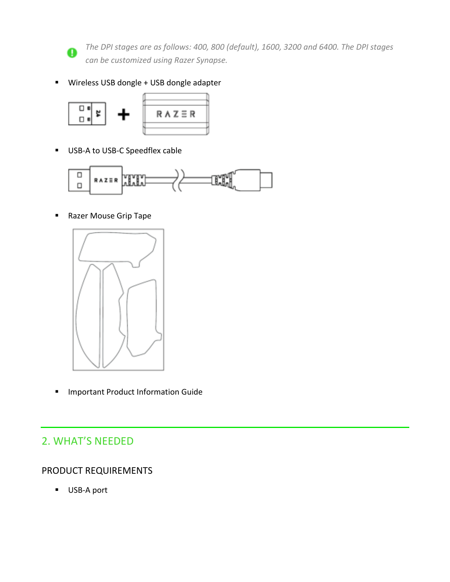

*The DPI stages are as follows: 400, 800 (default), 1600, 3200 and 6400. The DPI stages can be customized using Razer Synapse.* 

▪ Wireless USB dongle + USB dongle adapter



■ USB-A to USB-C Speedflex cable



■ Razer Mouse Grip Tape



■ Important Product Information Guide

# <span id="page-4-0"></span>2. WHAT'S NEEDED

### PRODUCT REQUIREMENTS

■ USB-A port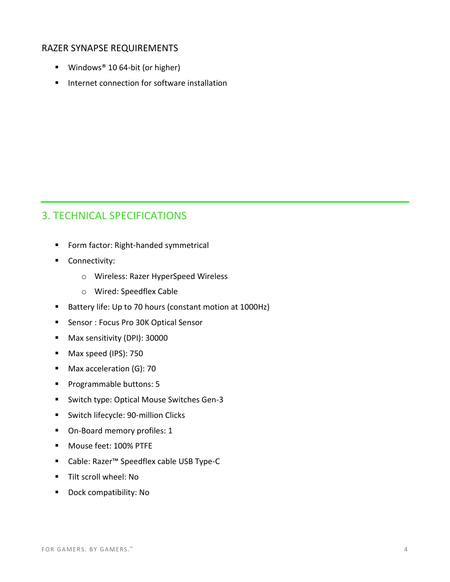#### RAZER SYNAPSE REQUIREMENTS

- Windows<sup>®</sup> 10 64-bit (or higher)
- Internet connection for software installation

# <span id="page-5-0"></span>3. TECHNICAL SPECIFICATIONS

- Form factor: Right-handed symmetrical
- Connectivity:
	- o Wireless: Razer HyperSpeed Wireless
	- o Wired: Speedflex Cable
- Battery life: Up to 70 hours (constant motion at 1000Hz)
- Sensor : Focus Pro 30K Optical Sensor
- Max sensitivity (DPI): 30000
- Max speed (IPS): 750
- Max acceleration (G): 70
- Programmable buttons: 5
- Switch type: Optical Mouse Switches Gen-3
- Switch lifecycle: 90-million Clicks
- On-Board memory profiles: 1
- Mouse feet: 100% PTFE
- Cable: Razer™ Speedflex cable USB Type-C
- Tilt scroll wheel: No
- Dock compatibility: No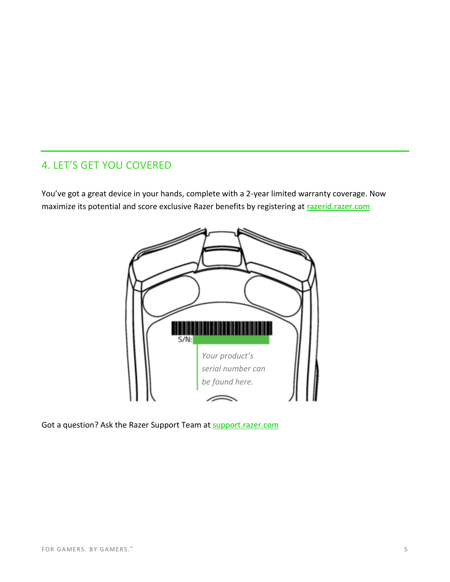## <span id="page-6-0"></span>4. LET'S GET YOU COVERED

You've got a great device in your hands, complete with a 2-year limited warranty coverage. Now maximize its potential and score exclusive Razer benefits by registering at razerid.razer.com



Got a question? Ask the Razer Support Team at support.razer.com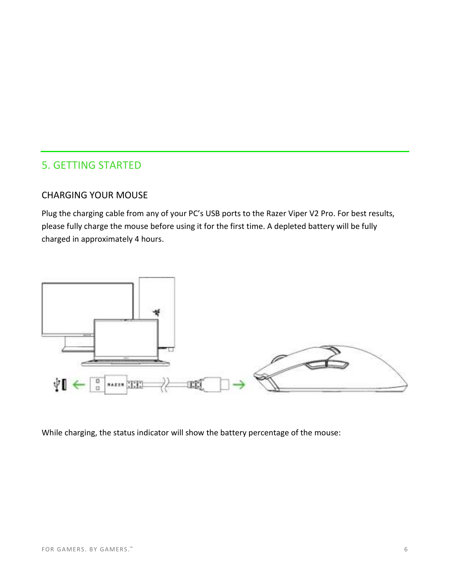### <span id="page-7-0"></span>5. GETTING STARTED

#### CHARGING YOUR MOUSE

Plug the charging cable from any of your PC's USB ports to the Razer Viper V2 Pro. For best results, please fully charge the mouse before using it for the first time. A depleted battery will be fully charged in approximately 4 hours.



While charging, the status indicator will show the battery percentage of the mouse: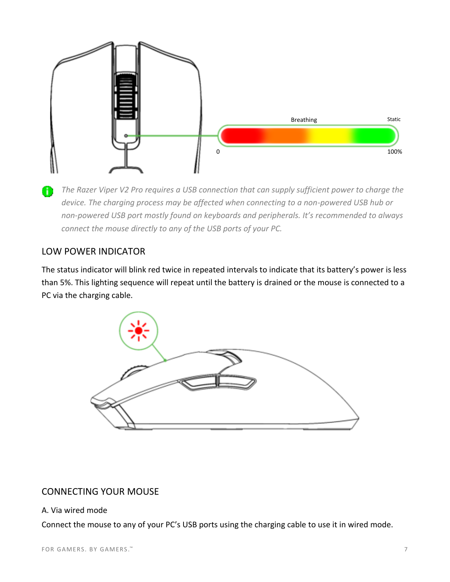

*The Razer Viper V2 Pro requires a USB connection that can supply sufficient power to charge the device. The charging process may be affected when connecting to a non-powered USB hub or non-powered USB port mostly found on keyboards and peripherals. It's recommended to always connect the mouse directly to any of the USB ports of your PC.* 

### LOW POWER INDICATOR

The status indicator will blink red twice in repeated intervals to indicate that its battery's power is less than 5%. This lighting sequence will repeat until the battery is drained or the mouse is connected to a PC via the charging cable.



### CONNECTING YOUR MOUSE

#### A. Via wired mode

Connect the mouse to any of your PC's USB ports using the charging cable to use it in wired mode.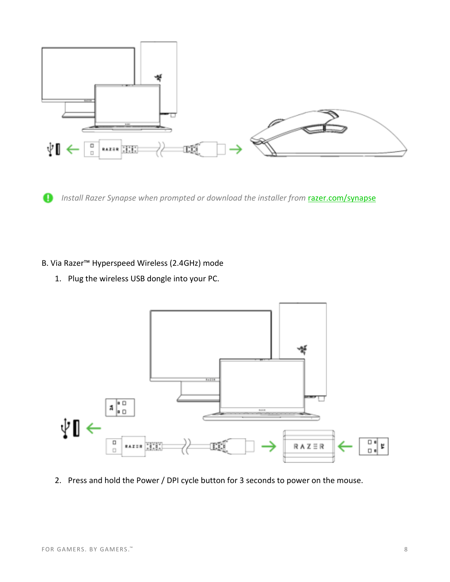

*Install Razer Synapse when prompted or download the installer from <b>razer.com/synapse* 

#### B. Via Razer™ Hyperspeed Wireless (2.4GHz) mode

1. Plug the wireless USB dongle into your PC.



2. Press and hold the Power / DPI cycle button for 3 seconds to power on the mouse.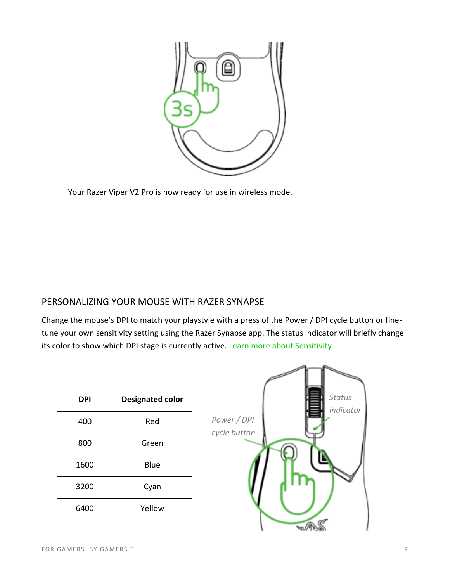

Your Razer Viper V2 Pro is now ready for use in wireless mode.

### PERSONALIZING YOUR MOUSE WITH RAZER SYNAPSE

Change the mouse's DPI to match your playstyle with a press of the Power / DPI cycle button or finetune your own sensitivity setting using the Razer Synapse app. The status indicator will briefly change its color to show which DPI stage is currently active. Learn more about Sensitivity

| <b>DPI</b> | <b>Designated color</b> | Status<br>indicator         |
|------------|-------------------------|-----------------------------|
| 400        | Red                     | Power / DPI<br>cycle button |
| 800        | Green                   |                             |
| 1600       | Blue                    |                             |
| 3200       | Cyan                    |                             |
| 6400       | Yellow                  |                             |
|            |                         |                             |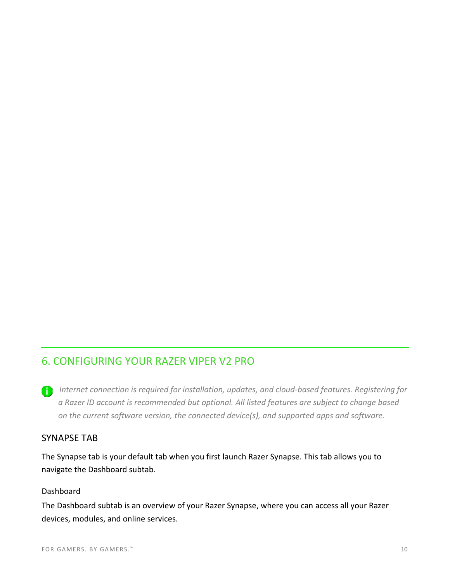# <span id="page-11-0"></span>6. CONFIGURING YOUR RAZER VIPER V2 PRO

*Internet connection is required for installation, updates, and cloud-based features. Registering for a Razer ID account is recommended but optional. All listed features are subject to change based on the current software version, the connected device(s), and supported apps and software.* 

### SYNAPSE TAB

The Synapse tab is your default tab when you first launch Razer Synapse. This tab allows you to navigate the Dashboard subtab.

#### Dashboard

The Dashboard subtab is an overview of your Razer Synapse, where you can access all your Razer devices, modules, and online services.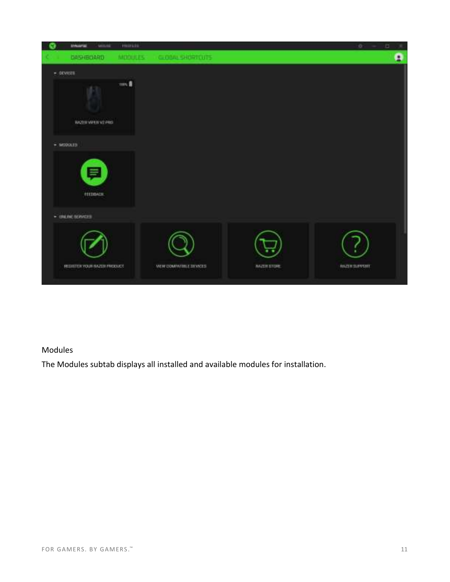

### Modules

The Modules subtab displays all installed and available modules for installation.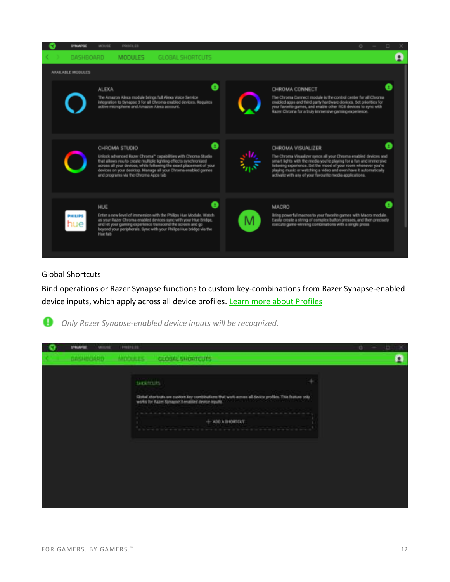| <b>SYNAPSE</b>           | <b>PROFILES</b><br>MOUSE.                                                                                                                                                                                                                                                                                                                             |              | o<br>□                                                                                                                                                                                                                                                                                                                                                       |
|--------------------------|-------------------------------------------------------------------------------------------------------------------------------------------------------------------------------------------------------------------------------------------------------------------------------------------------------------------------------------------------------|--------------|--------------------------------------------------------------------------------------------------------------------------------------------------------------------------------------------------------------------------------------------------------------------------------------------------------------------------------------------------------------|
| DASHBOARD                | <b>MODULES</b><br><b>GLOBAL SHORTCUTS</b>                                                                                                                                                                                                                                                                                                             |              |                                                                                                                                                                                                                                                                                                                                                              |
| <b>AVAILABLE MODULES</b> |                                                                                                                                                                                                                                                                                                                                                       |              |                                                                                                                                                                                                                                                                                                                                                              |
|                          | <b>ALEXA</b><br>The Amazon Alexa module brings full Alexa Voice Service<br>integration to Synapse 3 for all Chroma enabled devices. Requires<br>active microphone and Amazon Alexa account.                                                                                                                                                           |              | CHROMA CONNECT<br>The Chroma Connect module is the control center for all Chroma-<br>enabled apps and third party hardware devices. Set priorities for<br>your favorite games, and enable other RGB devices to sync with<br>Razer Chroma for a truly immersive gaming experience.                                                                            |
|                          | o<br>CHROMA STUDIO<br>Unlock advanced Razer Chroma <sup>16</sup> capabilities with Chroma Studio<br>that allows you to create multiple lighting effects synchronized<br>across all your devices, while following the exact placement of your<br>devices on your desktop. Manage all your Chroma enabled games<br>and programs via the Chroma Apps tab |              | CHROMA VISUALIZER<br>The Chroma Visualizer syncs all your Chroma enabled devices and<br>smart lights with the media you're playing for a fun and immersive<br>listening experience. Set the mood of your room whenever you're<br>playing music or watching a video and even have it automatically<br>activate with any of your favourite media applications. |
| <b>PHILIPS</b><br>nue    | HUE<br>Enter a new level of immersion with the Philips Hue Module. Watch<br>as your Razer Chroma enabled devices sync with your Hue Bridge,<br>and let your gaming experience transcend the screen and go<br>beyond your peripherals. Sync with your Philips Hue bridge via the<br>Hiue tab                                                           | <b>MACRO</b> | Bring powerful macros to your favorite games with Macro module.<br>Easily create a string of complex button presses, and then precisely<br>execute game-winning combinations with a single press                                                                                                                                                             |

#### Global Shortcuts

Bind operations or Razer Synapse functions to custom key-combinations from Razer Synapse-enabled device inputs, which apply across all device profiles. Learn more about Profiles



*Only Razer Synapse-enabled device inputs will be recognized.* 

| <b>SYNAPTED</b><br><b>MISSION</b> | <b>HIIFEEE</b>    |                                                                                                                                                                                                                                                                                                                                                                                                                                                                                     | o<br>o |
|-----------------------------------|-------------------|-------------------------------------------------------------------------------------------------------------------------------------------------------------------------------------------------------------------------------------------------------------------------------------------------------------------------------------------------------------------------------------------------------------------------------------------------------------------------------------|--------|
|                                   | DASHIGARD MODULES | GLOBAL SHORTCUTS                                                                                                                                                                                                                                                                                                                                                                                                                                                                    | ۰      |
|                                   | signiture.        | Sibbal shortculo are custom key contributions that work across all device profiles. This feature only<br>works for Hazer Synapse' 3 enabled device legality.<br>$+$ ADO A INORTOJT<br><b><i>Change and Company's Company's Company's Company's Company's Company's Company's Company's Company's Company's Company's Company's Company's Company's Company's Company's Company's Company's Company's Company's Company's</i></b><br>A b b with A to the R A to the R S of A drive a |        |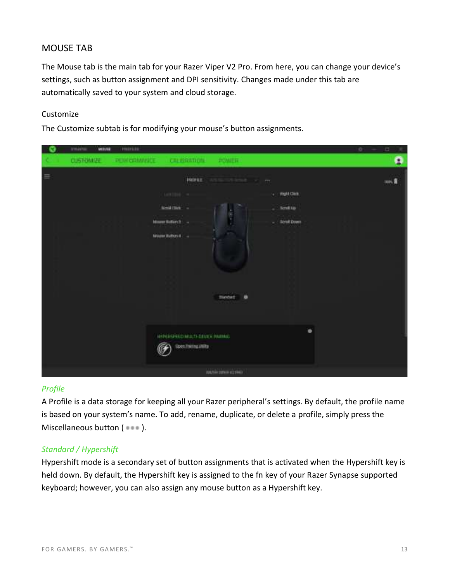### MOUSE TAB

The Mouse tab is the main tab for your Razer Viper V2 Pro. From here, you can change your device's settings, such as button assignment and DPI sensitivity. Changes made under this tab are automatically saved to your system and cloud storage.

#### Customize

The Customize subtab is for modifying your mouse's button assignments.



#### <span id="page-14-0"></span>*Profile*

A Profile is a data storage for keeping all your Razer peripheral's settings. By default, the profile name is based on your system's name. To add, rename, duplicate, or delete a profile, simply press the Miscellaneous button ( $\bullet\bullet\bullet$ ).

#### *Standard / Hypershift*

Hypershift mode is a secondary set of button assignments that is activated when the Hypershift key is held down. By default, the Hypershift key is assigned to the fn key of your Razer Synapse supported keyboard; however, you can also assign any mouse button as a Hypershift key.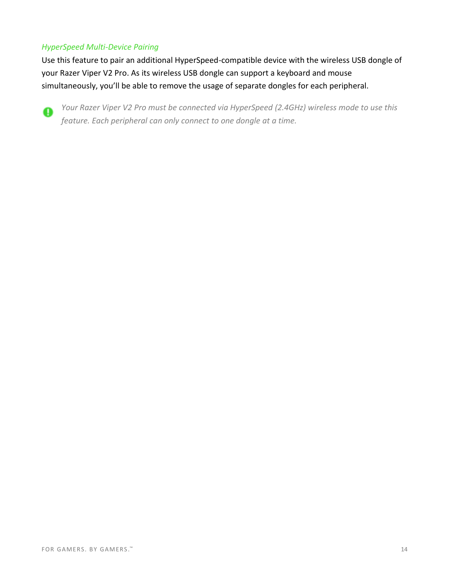#### *HyperSpeed Multi-Device Pairing*

Use this feature to pair an additional HyperSpeed-compatible device with the wireless USB dongle of your Razer Viper V2 Pro. As its wireless USB dongle can support a keyboard and mouse simultaneously, you'll be able to remove the usage of separate dongles for each peripheral.



*Your Razer Viper V2 Pro must be connected via HyperSpeed (2.4GHz) wireless mode to use this feature. Each peripheral can only connect to one dongle at a time.*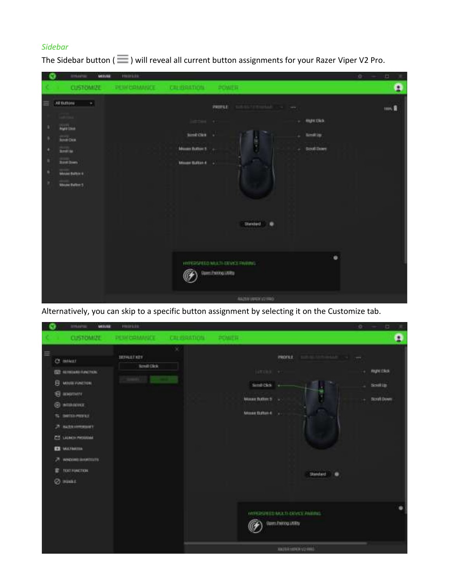### *Sidebar*

|                  | <b>TITULAPUL</b><br>MINE                                                                                                                                  | <b>HUILDS</b>               |                                                                                               |                                                                                                                                                   | o<br>凹<br>×   |
|------------------|-----------------------------------------------------------------------------------------------------------------------------------------------------------|-----------------------------|-----------------------------------------------------------------------------------------------|---------------------------------------------------------------------------------------------------------------------------------------------------|---------------|
|                  | <b>CLISTOMIZE</b>                                                                                                                                         | PERCHARAGE CREBRATION POMER |                                                                                               |                                                                                                                                                   | ٥             |
| Ξ<br>٠<br>٠<br>, | AEBANNI<br>$\rightarrow$<br><b>STORY</b><br><b>Railway</b><br><b>Bina Dea</b><br><b>Collins</b><br>Suit Servi<br>Mouse Baltin 6<br><b>Meant Baltist 5</b> |                             | justines.<br>sine cus .<br><b>SOLU</b><br>Muss future : .<br><b>Committee</b><br>Muse Exter 4 | many.<br>ministrational control<br><b>PASSAGE</b><br><b>UNITED</b><br><b>RUATION</b><br><b>Sec</b><br>۰<br><b>Smitter</b><br>Scrutt Drawn<br>non. | took <b>N</b> |
|                  |                                                                                                                                                           |                             |                                                                                               | <b>Standard</b><br>٠<br>۰<br>INVERSEED MULTI-DEVICE PINTING.<br>Dam Pelong Litility<br>NAZIA VEREZIO FRONT                                        |               |

The Sidebar button ( $\equiv$ ) will reveal all current button assignments for your Razer Viper V2 Pro.

Alternatively, you can skip to a specific button assignment by selecting it on the Customize tab.

| <b>TITNAPUL</b><br>MINI                                                                                                                                                                                                                                                                           | PRIFLED                                                        |   |                                                                                          |                                                                       | o                  | ш                                          | × |
|---------------------------------------------------------------------------------------------------------------------------------------------------------------------------------------------------------------------------------------------------------------------------------------------------|----------------------------------------------------------------|---|------------------------------------------------------------------------------------------|-----------------------------------------------------------------------|--------------------|--------------------------------------------|---|
| <b>CUSTOMIZE</b>                                                                                                                                                                                                                                                                                  | PERCRAANCE TENSATION                                           |   | <b><i>PENING</i></b>                                                                     |                                                                       |                    |                                            | ٥ |
| $\equiv$<br>Cf. miker<br><b>FOT 40 PROUSE (LEATERS)</b><br>B MINIFORCION<br><b>E KNOTHT!</b><br>O)<br><b>BITTADEVER</b><br><b>STAR</b><br><b>INVESTIGATES</b><br>ъ<br>A sure compact<br>ES LAMOTHOLIMA<br><b>EX MATRICIA</b><br>A wednesday contacts<br><b>TEXT-HAIGTER</b><br>e<br><b>O</b> nuar | <b>BELLEVILLE</b><br><b>JEFAULT KEY</b><br><b>Scyult Click</b> | × | HEER P<br>Simil Oks<br><b>STAR</b><br>Monet Buller: 5<br><b>PETAMATI</b><br>Mose Daton 4 | $-111 -$<br><b>ZROFILE</b><br>٠<br>Standard <sup>1</sup><br>$\bullet$ | <b>WEE</b><br>e co | <b>RIGHTORS</b><br>source<br>Storal's Down |   |
|                                                                                                                                                                                                                                                                                                   |                                                                |   |                                                                                          | INTERSTEED MOLTI-DRIVICE PARIDE.<br><b>Gam Fairog Utility</b>         |                    |                                            |   |
|                                                                                                                                                                                                                                                                                                   |                                                                |   |                                                                                          | material control                                                      |                    |                                            |   |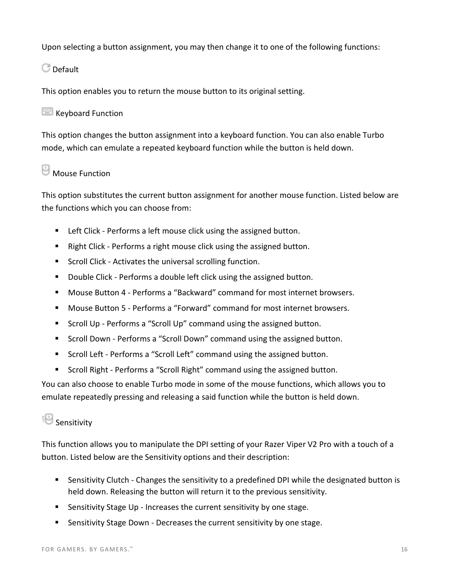Upon selecting a button assignment, you may then change it to one of the following functions:

**C** Default

This option enables you to return the mouse button to its original setting.

### Keyboard Function

This option changes the button assignment into a keyboard function. You can also enable Turbo mode, which can emulate a repeated keyboard function while the button is held down.

# **Mouse Function**

This option substitutes the current button assignment for another mouse function. Listed below are the functions which you can choose from:

- Left Click Performs a left mouse click using the assigned button.
- Right Click Performs a right mouse click using the assigned button.
- Scroll Click Activates the universal scrolling function.
- Double Click Performs a double left click using the assigned button.
- Mouse Button 4 Performs a "Backward" command for most internet browsers.
- Mouse Button 5 Performs a "Forward" command for most internet browsers.
- Scroll Up Performs a "Scroll Up" command using the assigned button.
- Scroll Down Performs a "Scroll Down" command using the assigned button.
- Scroll Left Performs a "Scroll Left" command using the assigned button.
- Scroll Right Performs a "Scroll Right" command using the assigned button.

You can also choose to enable Turbo mode in some of the mouse functions, which allows you to emulate repeatedly pressing and releasing a said function while the button is held down.

# **Sensitivity**

This function allows you to manipulate the DPI setting of your Razer Viper V2 Pro with a touch of a button. Listed below are the Sensitivity options and their description:

- Sensitivity Clutch Changes the sensitivity to a predefined DPI while the designated button is held down. Releasing the button will return it to the previous sensitivity.
- Sensitivity Stage Up Increases the current sensitivity by one stage.
- Sensitivity Stage Down Decreases the current sensitivity by one stage.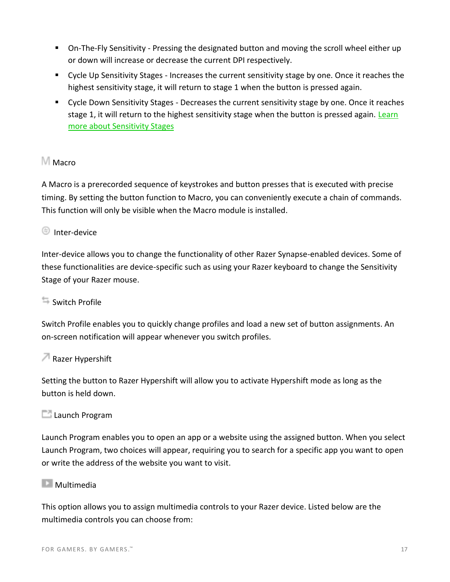- On-The-Fly Sensitivity Pressing the designated button and moving the scroll wheel either up or down will increase or decrease the current DPI respectively.
- Cycle Up Sensitivity Stages Increases the current sensitivity stage by one. Once it reaches the highest sensitivity stage, it will return to stage 1 when the button is pressed again.
- Cycle Down Sensitivity Stages Decreases the current sensitivity stage by one. Once it reaches stage 1, it will return to the highest sensitivity stage when the button is pressed again. Learn [more about Sensitivity Stages](#page-20-1)

### M<sub>Macro</sub>

A Macro is a prerecorded sequence of keystrokes and button presses that is executed with precise timing. By setting the button function to Macro, you can conveniently execute a chain of commands. This function will only be visible when the Macro module is installed.

### Inter-device

Inter-device allows you to change the functionality of other Razer Synapse-enabled devices. Some of these functionalities are device-specific such as using your Razer keyboard to change the Sensitivity Stage of your Razer mouse.

#### $\overline{\mathbb{Z}}$  Switch Profile

Switch Profile enables you to quickly change profiles and load a new set of button assignments. An on-screen notification will appear whenever you switch profiles.

#### $\sqrt{a}$  Razer Hypershift

Setting the button to Razer Hypershift will allow you to activate Hypershift mode as long as the button is held down.

#### **Launch Program**

Launch Program enables you to open an app or a website using the assigned button. When you select Launch Program, two choices will appear, requiring you to search for a specific app you want to open or write the address of the website you want to visit.

#### **Multimedia**

This option allows you to assign multimedia controls to your Razer device. Listed below are the multimedia controls you can choose from: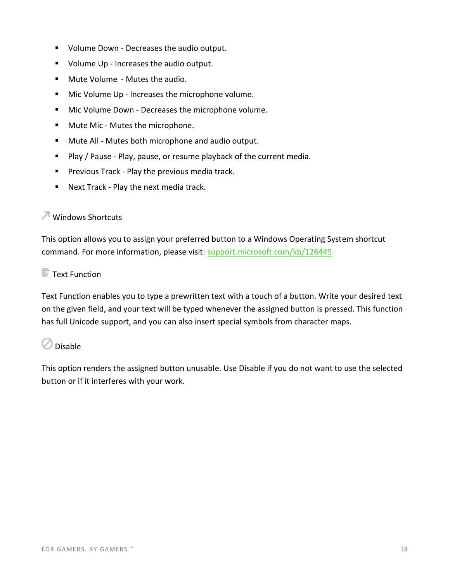- Volume Down Decreases the audio output.
- Volume Up Increases the audio output.
- Mute Volume Mutes the audio.
- Mic Volume Up Increases the microphone volume.
- Mic Volume Down Decreases the microphone volume.
- Mute Mic Mutes the microphone.
- Mute All Mutes both microphone and audio output.
- Play / Pause Play, pause, or resume playback of the current media.
- Previous Track Play the previous media track.
- Next Track Play the next media track.

### **Windows Shortcuts**

This option allows you to assign your preferred button to a Windows Operating System shortcut command. For more information, please visit: [support.microsoft.com/kb/126449](http://support.microsoft.com/kb/126449) 

### $\blacksquare$  Text Function

Text Function enables you to type a prewritten text with a touch of a button. Write your desired text on the given field, and your text will be typed whenever the assigned button is pressed. This function has full Unicode support, and you can also insert special symbols from character maps.

### $\oslash$  Disable

This option renders the assigned button unusable. Use Disable if you do not want to use the selected button or if it interferes with your work.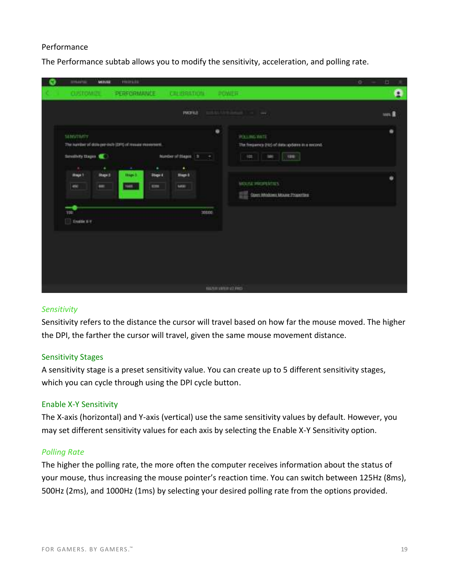#### Performance

The Performance subtab allows you to modify the sensitivity, acceleration, and polling rate.

| <b>TITULAPUL</b><br><b>HIPLES</b><br>MINIE                                                                       |                                                                                                                                                   | o<br>出<br>× |
|------------------------------------------------------------------------------------------------------------------|---------------------------------------------------------------------------------------------------------------------------------------------------|-------------|
| <b>CUSTOMES</b>                                                                                                  | PERFORMANCE CREBBINTION<br><b>POWER</b>                                                                                                           | A           |
|                                                                                                                  | PACIFICA<br>$\sim$<br>w                                                                                                                           | torn.       |
| <b>SERGIANTY</b><br>The number of dots per-inch (DFG of measurementers).<br>Service Days                         | $\bullet$<br><b>POLING BRTE</b><br>The firepairing (FLS of data updates as a record).<br>Number of Stages 1 to<br>$\frac{1}{2}$<br>use.<br>W<br>٠ | ٠           |
| ٠<br>$\sim$<br>$\overline{a}$<br><b>itapi 2</b><br><b>Hope?</b><br><b>Stage 3</b><br>$\rightarrow$<br>NAM .<br>÷ | ٠<br>٠<br><b>Stuge 4</b><br><b>Thigh 5</b><br>MOUSE MAUPERTIES<br>sim.<br>saw   <br>Open Windows Mouse Properties                                 | ۰           |
| −<br><b>TDE</b><br><b>Truttle X-Y</b><br>m                                                                       | 30000                                                                                                                                             |             |
|                                                                                                                  | <b>HASH WERE VERY</b>                                                                                                                             |             |

#### <span id="page-20-0"></span>*Sensitivity*

Sensitivity refers to the distance the cursor will travel based on how far the mouse moved. The higher the DPI, the farther the cursor will travel, given the same mouse movement distance.

#### <span id="page-20-1"></span>Sensitivity Stages

A sensitivity stage is a preset sensitivity value. You can create up to 5 different sensitivity stages, which you can cycle through using the DPI cycle button.

#### Enable X-Y Sensitivity

The X-axis (horizontal) and Y-axis (vertical) use the same sensitivity values by default. However, you may set different sensitivity values for each axis by selecting the Enable X-Y Sensitivity option.

#### *Polling Rate*

The higher the polling rate, the more often the computer receives information about the status of your mouse, thus increasing the mouse pointer's reaction time. You can switch between 125Hz (8ms), 500Hz (2ms), and 1000Hz (1ms) by selecting your desired polling rate from the options provided.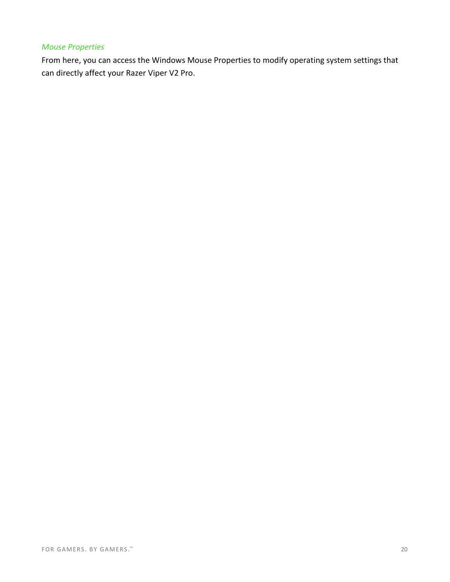#### *Mouse Properties*

From here, you can access the Windows Mouse Properties to modify operating system settings that can directly affect your Razer Viper V2 Pro.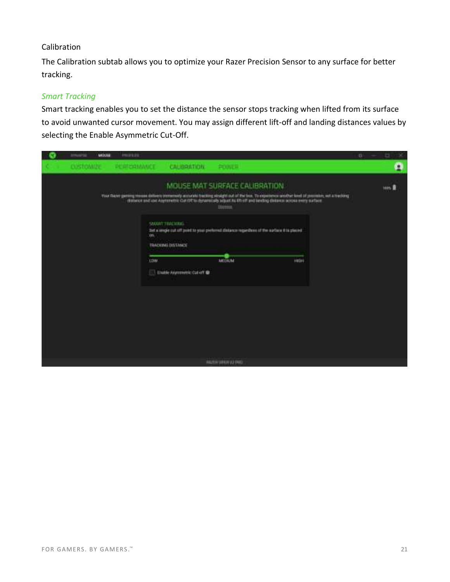#### Calibration

The Calibration subtab allows you to optimize your Razer Precision Sensor to any surface for better tracking.

#### *Smart Tracking*

Smart tracking enables you to set the distance the sensor stops tracking when lifted from its surface to avoid unwanted cursor movement. You may assign different lift-off and landing distances values by selecting the Enable Asymmetric Cut-Off.

| <b>IVNAVILL</b><br>MOUNT | 0912121     |                                                                                                                                                                                                                                                                                                                                                                                                                                             |                |              | $^{0}$<br>ь |
|--------------------------|-------------|---------------------------------------------------------------------------------------------------------------------------------------------------------------------------------------------------------------------------------------------------------------------------------------------------------------------------------------------------------------------------------------------------------------------------------------------|----------------|--------------|-------------|
| CUSTOMIZE                | PERFORMANCE | <b>CALIBRATION:</b>                                                                                                                                                                                                                                                                                                                                                                                                                         | 会馆用具           |              | A           |
|                          | 10%         | MOUSE MAT SURFACE CALIBRATION.<br>Your Flazer generg resume delivers immunely accurate backing sindafricant of the loss. To experience another land of premium, not a tracking<br>dratococ and use Asymmetric Cut Of to dynamically siduat ALED (if and liesting distance across every surface.<br><b>SMART TRACKERS</b><br>Tet a ungle cut off point to your preferred distance regardies of the surface it is placed.<br>TRADEMI DISTANCE | Increa.        |              | teles       |
|                          |             | LDW-<br>Enotile Asymmetric Cut off                                                                                                                                                                                                                                                                                                                                                                                                          | <b>ARTISON</b> | <b>HECHI</b> |             |
|                          |             |                                                                                                                                                                                                                                                                                                                                                                                                                                             |                |              |             |
|                          |             |                                                                                                                                                                                                                                                                                                                                                                                                                                             | AUTHORNEY FAX  |              |             |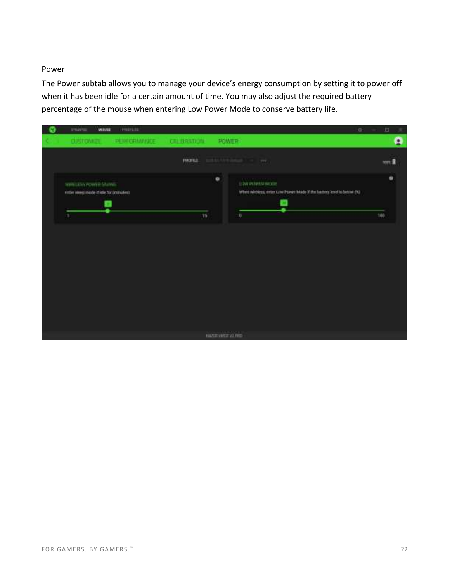#### Power

The Power subtab allows you to manage your device's energy consumption by setting it to power off when it has been idle for a certain amount of time. You may also adjust the required battery percentage of the mouse when entering Low Power Mode to conserve battery life.

| <b>TITULARIA</b><br><b>HUIFEEE</b><br>MINIE                    |                                                                                                       | o<br>出<br>× |
|----------------------------------------------------------------|-------------------------------------------------------------------------------------------------------|-------------|
| <b>INDICAMARICE</b><br><b>CUSTOMER</b>                         | POWER<br><b>CREIBRATION</b>                                                                           | ۵           |
|                                                                | <b>PACIFICA</b>                                                                                       | un R        |
| WHELESA POWER SAMAL<br>Fitter sleep mode if idle for cronutes) | $\bullet$<br>LOW POWER MODE<br>When wineless, enter Love Power Mode X the battery level is below (N). | ۰           |
| ٠                                                              | 19<br><b>District Control</b>                                                                         | 100         |
|                                                                |                                                                                                       |             |
|                                                                | <b>HASH VIEW AT FRO</b>                                                                               |             |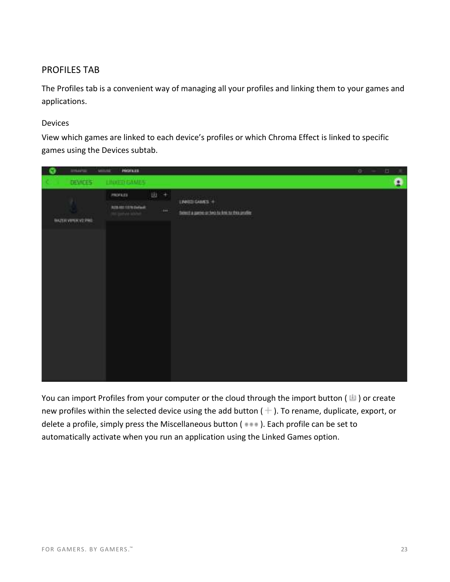### PROFILES TAB

The Profiles tab is a convenient way of managing all your profiles and linking them to your games and applications.

#### Devices

View which games are linked to each device's profiles or which Chroma Effect is linked to specific games using the Devices subtab.

| o<br>PROFILER<br><b>BYNAPIE</b><br><b>MISSIE</b>                                                                                                                                                        | o<br>出<br>$\mathcal{R}$ |
|---------------------------------------------------------------------------------------------------------------------------------------------------------------------------------------------------------|-------------------------|
| DEVICES!<br>LINICED GAMES                                                                                                                                                                               | ۵                       |
| 山 +<br>mon.m<br>LINKED GAMES +<br>×<br><b>CALL FEED</b><br><b>THURSDAY</b><br><b>R28-MS STR Default</b><br>$-0.04$<br>South a passe or two to two systematics<br>stranovniko<br><b>BATH WEEK V2 PRO</b> |                         |

You can import Profiles from your computer or the cloud through the import button ( $\Box$ ) or create new profiles within the selected device using the add button ( $+$ ). To rename, duplicate, export, or delete a profile, simply press the Miscellaneous button ( $\bullet\bullet\bullet$ ). Each profile can be set to automatically activate when you run an application using the Linked Games option.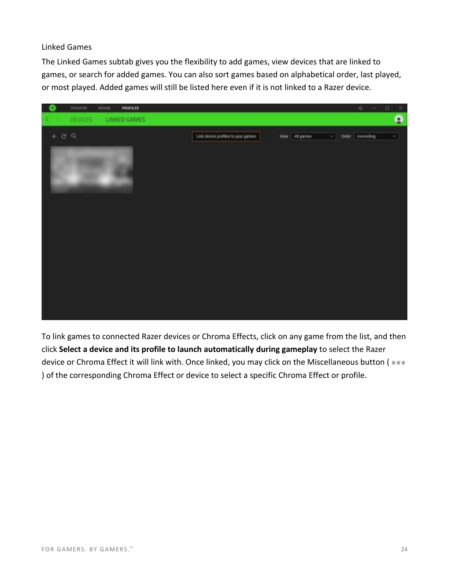#### Linked Games

The Linked Games subtab gives you the flexibility to add games, view devices that are linked to games, or search for added games. You can also sort games based on alphabetical order, last played, or most played. Added games will still be listed here even if it is not linked to a Razer device.



To link games to connected Razer devices or Chroma Effects, click on any game from the list, and then click **Select a device and its profile to launch automatically during gameplay** to select the Razer device or Chroma Effect it will link with. Once linked, you may click on the Miscellaneous button ( ) of the corresponding Chroma Effect or device to select a specific Chroma Effect or profile.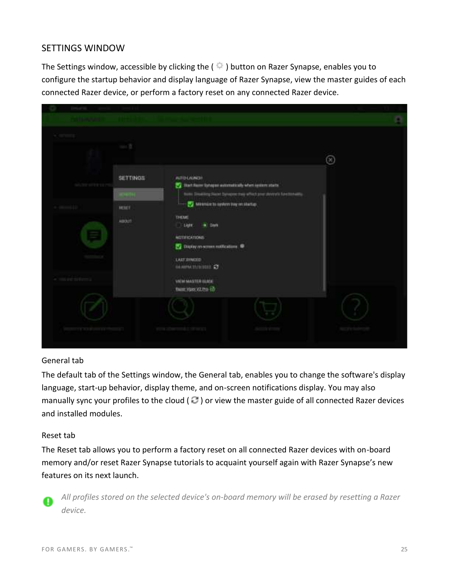### SETTINGS WINDOW

The Settings window, accessible by clicking the ( $\Box$ ) button on Razer Synapse, enables you to configure the startup behavior and display language of Razer Synapse, view the master guides of each connected Razer device, or perform a factory reset on any connected Razer device.



#### General tab

The default tab of the Settings window, the General tab, enables you to change the software's display language, start-up behavior, display theme, and on-screen notifications display. You may also manually sync your profiles to the cloud ( $\mathbb{C}$ ) or view the master guide of all connected Razer devices and installed modules.

#### Reset tab

The Reset tab allows you to perform a factory reset on all connected Razer devices with on-board memory and/or reset Razer Synapse tutorials to acquaint yourself again with Razer Synapse's new features on its next launch.



*All profiles stored on the selected device's on-board memory will be erased by resetting a Razer device.*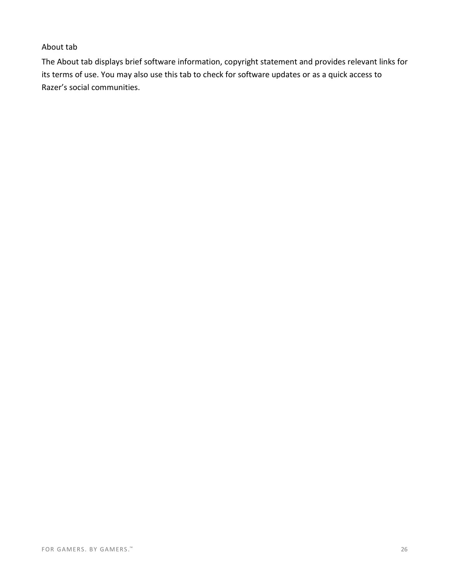#### About tab

The About tab displays brief software information, copyright statement and provides relevant links for its terms of use. You may also use this tab to check for software updates or as a quick access to Razer's social communities.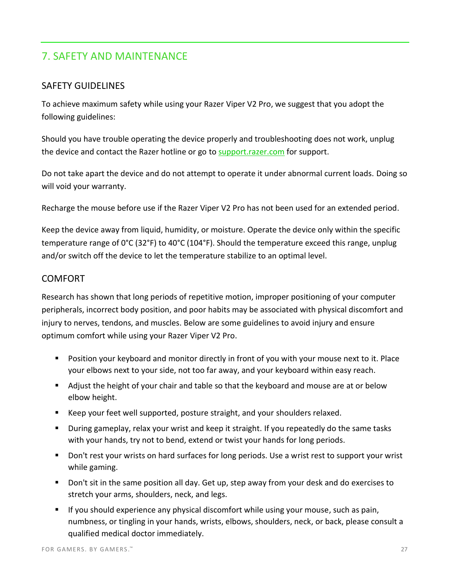# <span id="page-28-0"></span>7. SAFETY AND MAINTENANCE

### SAFETY GUIDELINES

To achieve maximum safety while using your Razer Viper V2 Pro, we suggest that you adopt the following guidelines:

Should you have trouble operating the device properly and troubleshooting does not work, unplug the device and contact the Razer hotline or go to [support.razer.com](http://support.razer.com/) for support.

Do not take apart the device and do not attempt to operate it under abnormal current loads. Doing so will void your warranty.

Recharge the mouse before use if the Razer Viper V2 Pro has not been used for an extended period.

Keep the device away from liquid, humidity, or moisture. Operate the device only within the specific temperature range of 0°C (32°F) to 40°C (104°F). Should the temperature exceed this range, unplug and/or switch off the device to let the temperature stabilize to an optimal level.

#### **COMFORT**

Research has shown that long periods of repetitive motion, improper positioning of your computer peripherals, incorrect body position, and poor habits may be associated with physical discomfort and injury to nerves, tendons, and muscles. Below are some guidelines to avoid injury and ensure optimum comfort while using your Razer Viper V2 Pro.

- Position your keyboard and monitor directly in front of you with your mouse next to it. Place your elbows next to your side, not too far away, and your keyboard within easy reach.
- Adjust the height of your chair and table so that the keyboard and mouse are at or below elbow height.
- Keep your feet well supported, posture straight, and your shoulders relaxed.
- During gameplay, relax your wrist and keep it straight. If you repeatedly do the same tasks with your hands, try not to bend, extend or twist your hands for long periods.
- Don't rest your wrists on hard surfaces for long periods. Use a wrist rest to support your wrist while gaming.
- Don't sit in the same position all day. Get up, step away from your desk and do exercises to stretch your arms, shoulders, neck, and legs.
- **■** If you should experience any physical discomfort while using your mouse, such as pain, numbness, or tingling in your hands, wrists, elbows, shoulders, neck, or back, please consult a qualified medical doctor immediately.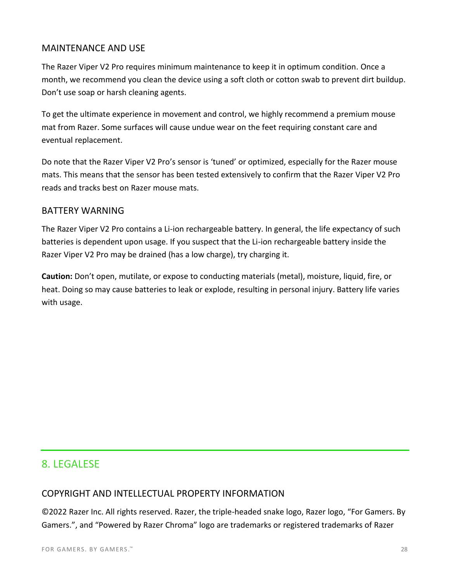### MAINTENANCE AND USE

The Razer Viper V2 Pro requires minimum maintenance to keep it in optimum condition. Once a month, we recommend you clean the device using a soft cloth or cotton swab to prevent dirt buildup. Don't use soap or harsh cleaning agents.

To get the ultimate experience in movement and control, we highly recommend a premium mouse mat from Razer. Some surfaces will cause undue wear on the feet requiring constant care and eventual replacement.

Do note that the Razer Viper V2 Pro's sensor is 'tuned' or optimized, especially for the Razer mouse mats. This means that the sensor has been tested extensively to confirm that the Razer Viper V2 Pro reads and tracks best on Razer mouse mats.

#### BATTERY WARNING

The Razer Viper V2 Pro contains a Li-ion rechargeable battery. In general, the life expectancy of such batteries is dependent upon usage. If you suspect that the Li-ion rechargeable battery inside the Razer Viper V2 Pro may be drained (has a low charge), try charging it.

**Caution:** Don't open, mutilate, or expose to conducting materials (metal), moisture, liquid, fire, or heat. Doing so may cause batteries to leak or explode, resulting in personal injury. Battery life varies with usage.

# <span id="page-29-0"></span>8. LEGALESE

### COPYRIGHT AND INTELLECTUAL PROPERTY INFORMATION

©2022 Razer Inc. All rights reserved. Razer, the triple-headed snake logo, Razer logo, "For Gamers. By Gamers.", and "Powered by Razer Chroma" logo are trademarks or registered trademarks of Razer